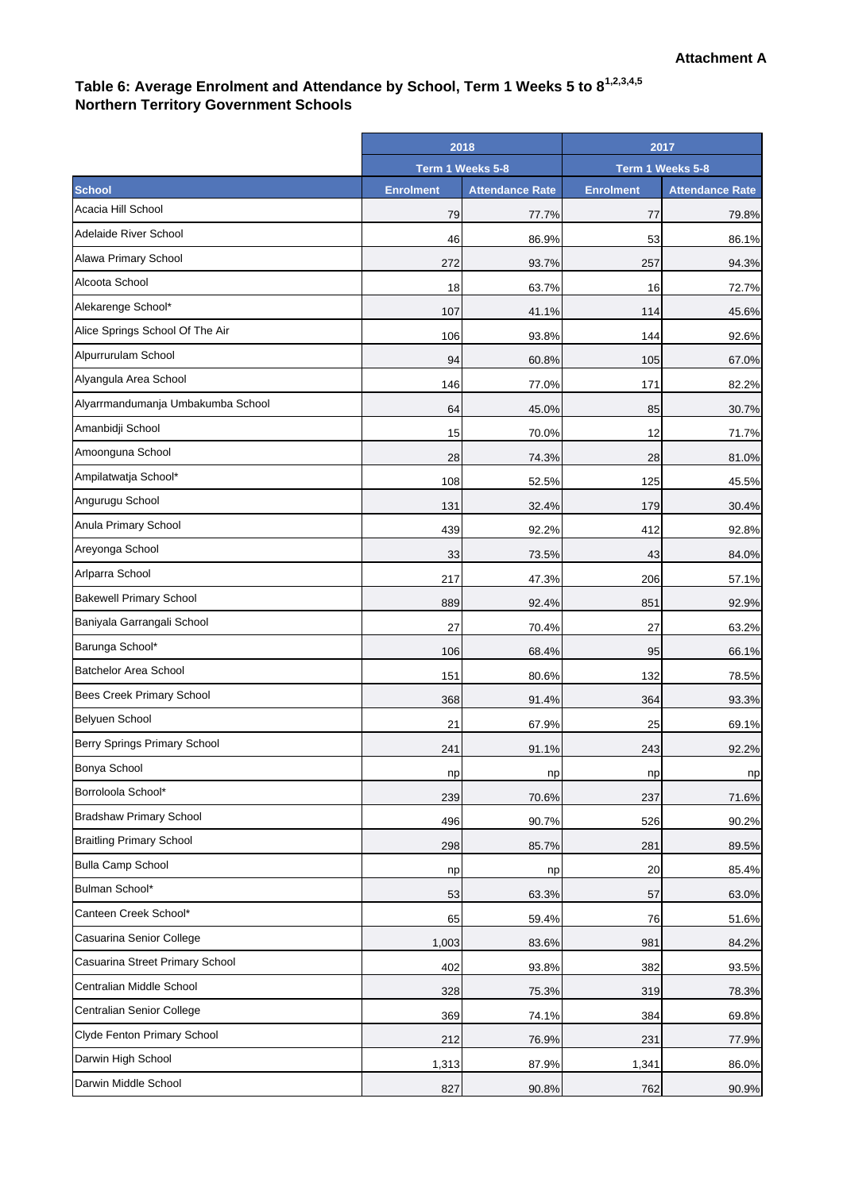# Table 6: Average Enrolment and Attendance by School, Term 1 Weeks 5 to 8<sup>1,2,3,4,5</sup> **Northern Territory Government Schools**

|                                   | 2018<br>Term 1 Weeks 5-8 |                        | 2017<br>Term 1 Weeks 5-8 |                        |
|-----------------------------------|--------------------------|------------------------|--------------------------|------------------------|
|                                   |                          |                        |                          |                        |
| <b>School</b>                     | <b>Enrolment</b>         | <b>Attendance Rate</b> | <b>Enrolment</b>         | <b>Attendance Rate</b> |
| Acacia Hill School                | 79                       | 77.7%                  | 77                       | 79.8%                  |
| Adelaide River School             | 46                       | 86.9%                  | 53                       | 86.1%                  |
| Alawa Primary School              | 272                      | 93.7%                  | 257                      | 94.3%                  |
| Alcoota School                    | 18                       | 63.7%                  | 16                       | 72.7%                  |
| Alekarenge School*                | 107                      | 41.1%                  | 114                      | 45.6%                  |
| Alice Springs School Of The Air   | 106                      | 93.8%                  | 144                      | 92.6%                  |
| Alpurrurulam School               | 94                       | 60.8%                  | 105                      | 67.0%                  |
| Alyangula Area School             | 146                      | 77.0%                  | 171                      | 82.2%                  |
| Alyarrmandumanja Umbakumba School | 64                       | 45.0%                  | 85                       | 30.7%                  |
| Amanbidji School                  | 15                       | 70.0%                  | 12                       | 71.7%                  |
| Amoonguna School                  | 28                       | 74.3%                  | 28                       | 81.0%                  |
| Ampilatwatja School*              | 108                      | 52.5%                  | 125                      | 45.5%                  |
| Angurugu School                   | 131                      | 32.4%                  | 179                      | 30.4%                  |
| Anula Primary School              | 439                      | 92.2%                  | 412                      | 92.8%                  |
| Areyonga School                   | 33                       | 73.5%                  | 43                       | 84.0%                  |
| Arlparra School                   | 217                      | 47.3%                  | 206                      | 57.1%                  |
| <b>Bakewell Primary School</b>    | 889                      | 92.4%                  | 851                      | 92.9%                  |
| Baniyala Garrangali School        | 27                       | 70.4%                  | 27                       | 63.2%                  |
| Barunga School*                   | 106                      | 68.4%                  | 95                       | 66.1%                  |
| <b>Batchelor Area School</b>      | 151                      | 80.6%                  | 132                      | 78.5%                  |
| Bees Creek Primary School         | 368                      | 91.4%                  | 364                      | 93.3%                  |
| Belyuen School                    | 21                       | 67.9%                  | 25                       | 69.1%                  |
| Berry Springs Primary School      | 241                      | 91.1%                  | 243                      | 92.2%                  |
| Bonya School                      | np                       | np                     | np                       | np                     |
| Borroloola School*                | 239                      | 70.6%                  | 237                      | 71.6%                  |
| <b>Bradshaw Primary School</b>    | 496                      | 90.7%                  | 526                      | 90.2%                  |
| <b>Braitling Primary School</b>   | 298                      | 85.7%                  | 281                      | 89.5%                  |
| <b>Bulla Camp School</b>          | np                       | np                     | 20                       | 85.4%                  |
| Bulman School*                    | 53                       | 63.3%                  | 57                       | 63.0%                  |
| Canteen Creek School*             | 65                       | 59.4%                  | 76                       | 51.6%                  |
| Casuarina Senior College          | 1,003                    | 83.6%                  | 981                      | 84.2%                  |
| Casuarina Street Primary School   | 402                      | 93.8%                  | 382                      | 93.5%                  |
| Centralian Middle School          | 328                      | 75.3%                  | 319                      | 78.3%                  |
| Centralian Senior College         | 369                      | 74.1%                  | 384                      | 69.8%                  |
| Clyde Fenton Primary School       | 212                      | 76.9%                  | 231                      | 77.9%                  |
| Darwin High School                | 1,313                    | 87.9%                  | 1,341                    | 86.0%                  |
| Darwin Middle School              | 827                      | 90.8%                  | 762                      | 90.9%                  |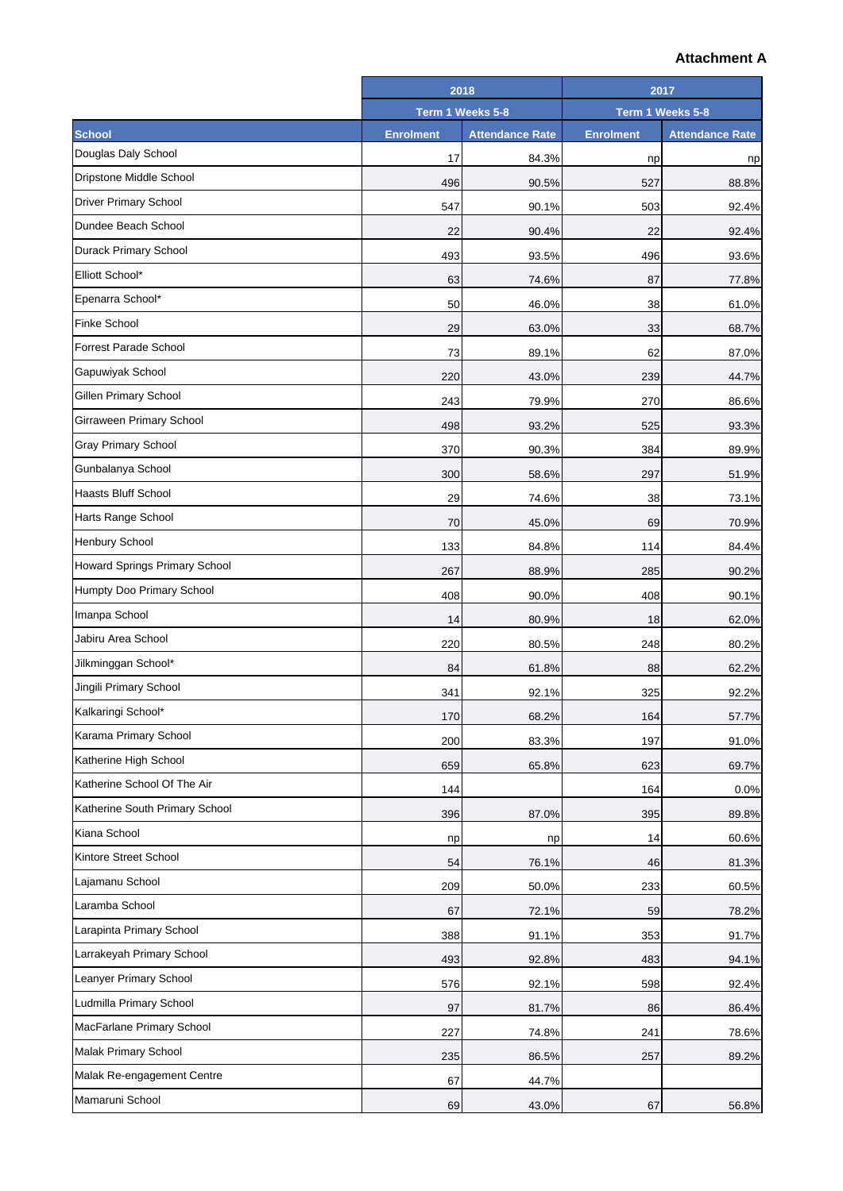|                                | 2018             |                        | 2017             |                        |
|--------------------------------|------------------|------------------------|------------------|------------------------|
|                                | Term 1 Weeks 5-8 |                        | Term 1 Weeks 5-8 |                        |
| <b>School</b>                  | <b>Enrolment</b> | <b>Attendance Rate</b> | <b>Enrolment</b> | <b>Attendance Rate</b> |
| Douglas Daly School            | 17               | 84.3%                  | np               | np                     |
| Dripstone Middle School        | 496              | 90.5%                  | 527              | 88.8%                  |
| <b>Driver Primary School</b>   | 547              | 90.1%                  | 503              | 92.4%                  |
| Dundee Beach School            | 22               | 90.4%                  | 22               | 92.4%                  |
| <b>Durack Primary School</b>   | 493              | 93.5%                  | 496              | 93.6%                  |
| Elliott School*                | 63               | 74.6%                  | 87               | 77.8%                  |
| Epenarra School*               | 50               | 46.0%                  | 38               | 61.0%                  |
| <b>Finke School</b>            | 29               | 63.0%                  | 33               | 68.7%                  |
| <b>Forrest Parade School</b>   | 73               | 89.1%                  | 62               | 87.0%                  |
| Gapuwiyak School               | 220              | 43.0%                  | 239              | 44.7%                  |
| <b>Gillen Primary School</b>   | 243              | 79.9%                  | 270              | 86.6%                  |
| Girraween Primary School       | 498              | 93.2%                  | 525              | 93.3%                  |
| <b>Gray Primary School</b>     | 370              | 90.3%                  | 384              | 89.9%                  |
| Gunbalanya School              | 300              | 58.6%                  | 297              | 51.9%                  |
| <b>Haasts Bluff School</b>     | 29               | 74.6%                  | 38               | 73.1%                  |
| Harts Range School             | 70               | 45.0%                  | 69               | 70.9%                  |
| Henbury School                 | 133              | 84.8%                  | 114              | 84.4%                  |
| Howard Springs Primary School  | 267              | 88.9%                  | 285              | 90.2%                  |
| Humpty Doo Primary School      | 408              | 90.0%                  | 408              | 90.1%                  |
| Imanpa School                  | 14               | 80.9%                  | 18               | 62.0%                  |
| Jabiru Area School             | 220              | 80.5%                  | 248              | 80.2%                  |
| Jilkminggan School*            | 84               | 61.8%                  | 88               | 62.2%                  |
| Jingili Primary School         | 341              | 92.1%                  | 325              | 92.2%                  |
| Kalkaringi School*             | 170              | 68.2%                  | 164              | 57.7%                  |
| Karama Primary School          | 200              | 83.3%                  | 197              | 91.0%                  |
| Katherine High School          | 659              | 65.8%                  | 623              | 69.7%                  |
| Katherine School Of The Air    | 144              |                        | 164              | 0.0%                   |
| Katherine South Primary School | 396              | 87.0%                  | 395              | 89.8%                  |
| Kiana School                   | np               | np                     | 14               | 60.6%                  |
| Kintore Street School          | 54               | 76.1%                  | 46               | 81.3%                  |
| Lajamanu School                | 209              | 50.0%                  | 233              | 60.5%                  |
| Laramba School                 | 67               | 72.1%                  | 59               | 78.2%                  |
| Larapinta Primary School       | 388              | 91.1%                  | 353              | 91.7%                  |
| Larrakeyah Primary School      | 493              | 92.8%                  | 483              | 94.1%                  |
| Leanyer Primary School         | 576              | 92.1%                  | 598              | 92.4%                  |
| Ludmilla Primary School        | 97               | 81.7%                  | 86               | 86.4%                  |
| MacFarlane Primary School      | 227              | 74.8%                  | 241              | 78.6%                  |
| <b>Malak Primary School</b>    | 235              | 86.5%                  | 257              | 89.2%                  |
| Malak Re-engagement Centre     | 67               | 44.7%                  |                  |                        |
| Mamaruni School                | 69               | 43.0%                  | 67               | 56.8%                  |
|                                |                  |                        |                  |                        |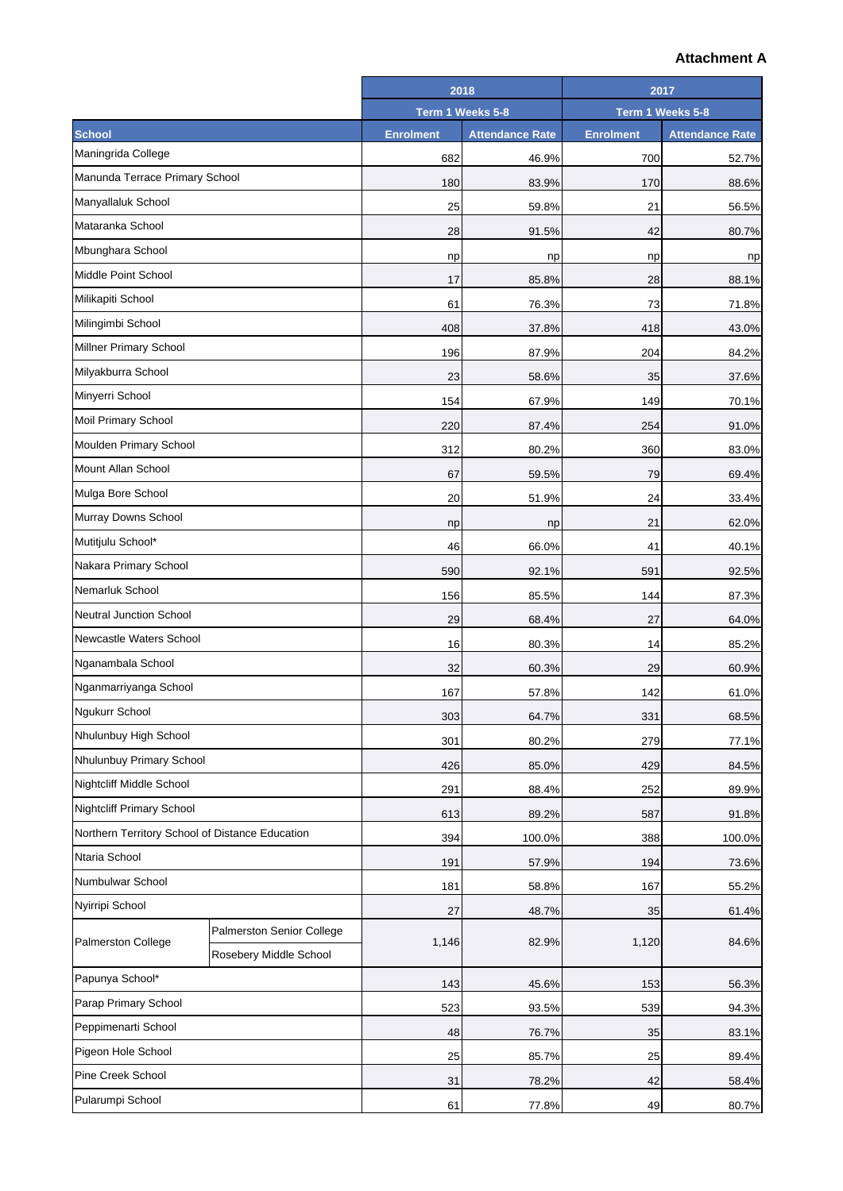|                                                 |                                                     |                  | 2018                   | 2017             |                        |
|-------------------------------------------------|-----------------------------------------------------|------------------|------------------------|------------------|------------------------|
|                                                 |                                                     | Term 1 Weeks 5-8 |                        | Term 1 Weeks 5-8 |                        |
| <b>School</b>                                   |                                                     | <b>Enrolment</b> | <b>Attendance Rate</b> | <b>Enrolment</b> | <b>Attendance Rate</b> |
| Maningrida College                              |                                                     | 682              | 46.9%                  | 700              | 52.7%                  |
| Manunda Terrace Primary School                  |                                                     | 180              | 83.9%                  | 170              | 88.6%                  |
| Manyallaluk School                              |                                                     | 25               | 59.8%                  | 21               | 56.5%                  |
| Mataranka School                                |                                                     | 28               | 91.5%                  | 42               | 80.7%                  |
| Mbunghara School                                |                                                     | np               | np                     | np               | np                     |
| Middle Point School                             |                                                     | 17               | 85.8%                  | 28               | 88.1%                  |
| Milikapiti School                               |                                                     | 61               | 76.3%                  | 73               | 71.8%                  |
| Milingimbi School                               |                                                     | 408              | 37.8%                  | 418              | 43.0%                  |
| Millner Primary School                          |                                                     | 196              | 87.9%                  | 204              | 84.2%                  |
| Milyakburra School                              |                                                     | 23               | 58.6%                  | 35               | 37.6%                  |
| Minyerri School                                 |                                                     | 154              | 67.9%                  | 149              | 70.1%                  |
| <b>Moil Primary School</b>                      |                                                     | 220              | 87.4%                  | 254              | 91.0%                  |
| Moulden Primary School                          |                                                     | 312              | 80.2%                  | 360              | 83.0%                  |
| Mount Allan School                              |                                                     | 67               | 59.5%                  | 79               | 69.4%                  |
| Mulga Bore School                               |                                                     | 20               | 51.9%                  | 24               | 33.4%                  |
| Murray Downs School                             |                                                     | np               | np                     | 21               | 62.0%                  |
| Mutitjulu School*                               |                                                     | 46               | 66.0%                  | 41               | 40.1%                  |
| Nakara Primary School                           |                                                     | 590              | 92.1%                  | 591              | 92.5%                  |
| Nemarluk School                                 |                                                     | 156              | 85.5%                  | 144              | 87.3%                  |
| <b>Neutral Junction School</b>                  |                                                     | 29               | 68.4%                  | 27               | 64.0%                  |
| Newcastle Waters School                         |                                                     | 16               | 80.3%                  | 14               | 85.2%                  |
| Nganambala School                               |                                                     | 32               | 60.3%                  | 29               | 60.9%                  |
| Nganmarriyanga School                           |                                                     | 167              | 57.8%                  | 142              | 61.0%                  |
| Ngukurr School                                  |                                                     | 303              | 64.7%                  | 331              | 68.5%                  |
| Nhulunbuy High School                           |                                                     | 301              | 80.2%                  | 279              | 77.1%                  |
| Nhulunbuy Primary School                        |                                                     | 426              | 85.0%                  | 429              | 84.5%                  |
| Nightcliff Middle School                        |                                                     | 291              | 88.4%                  | 252              | 89.9%                  |
| Nightcliff Primary School                       |                                                     | 613              | 89.2%                  | 587              | 91.8%                  |
| Northern Territory School of Distance Education |                                                     | 394              | 100.0%                 | 388              | 100.0%                 |
| Ntaria School                                   |                                                     | 191              | 57.9%                  | 194              | 73.6%                  |
| Numbulwar School                                |                                                     | 181              | 58.8%                  | 167              | 55.2%                  |
| Nyirripi School                                 |                                                     | 27               | 48.7%                  | 35               | 61.4%                  |
| Palmerston College                              | Palmerston Senior College<br>Rosebery Middle School | 1,146            | 82.9%                  | 1,120            | 84.6%                  |
| Papunya School*                                 |                                                     |                  |                        |                  |                        |
| Parap Primary School                            |                                                     | 143<br>523       | 45.6%<br>93.5%         | 153<br>539       | 56.3%<br>94.3%         |
| Peppimenarti School                             |                                                     | 48               | 76.7%                  | 35               | 83.1%                  |
| Pigeon Hole School                              |                                                     | 25               | 85.7%                  | 25               | 89.4%                  |
| Pine Creek School                               |                                                     | 31               | 78.2%                  | 42               | 58.4%                  |
| Pularumpi School                                |                                                     |                  |                        |                  | 80.7%                  |
|                                                 |                                                     | 61               | 77.8%                  | 49               |                        |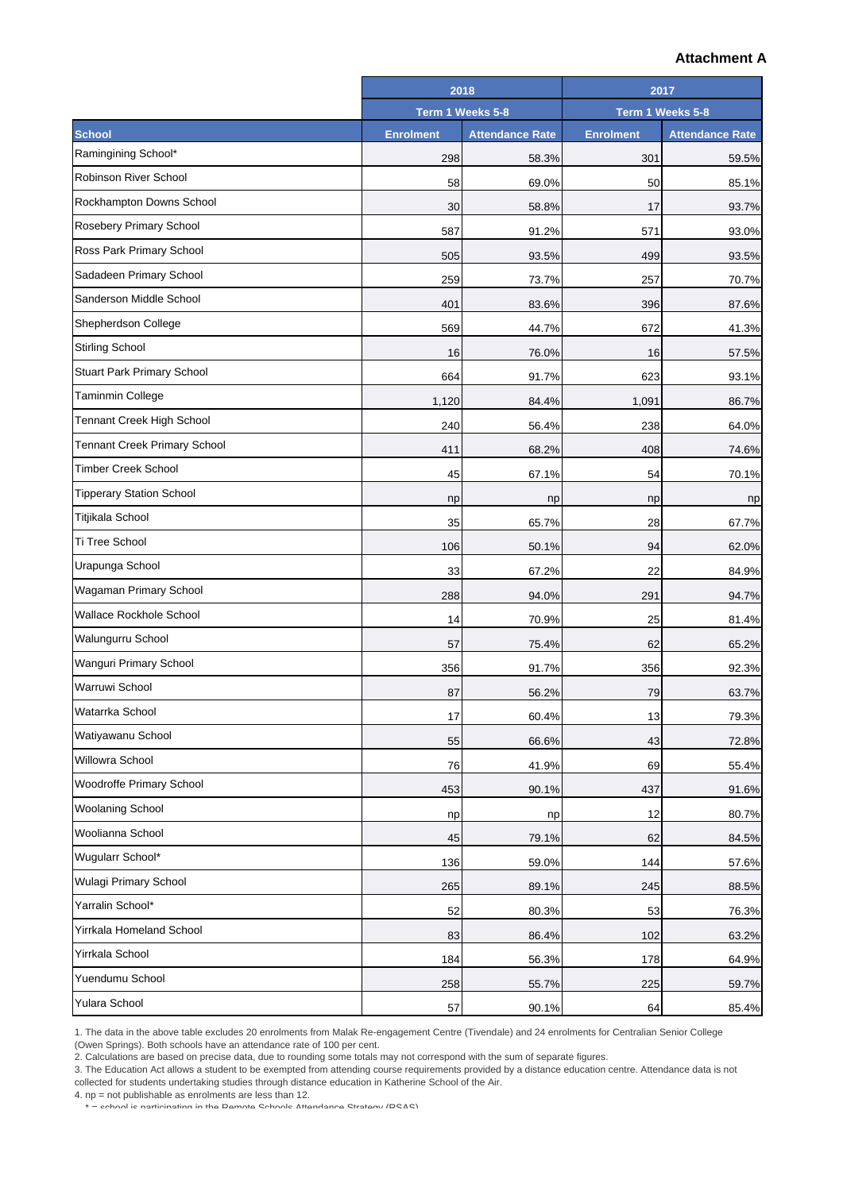|                                     |                  | 2018                   |                  | 2017                   |  |
|-------------------------------------|------------------|------------------------|------------------|------------------------|--|
|                                     |                  | Term 1 Weeks 5-8       |                  | Term 1 Weeks 5-8       |  |
| <b>School</b>                       | <b>Enrolment</b> | <b>Attendance Rate</b> | <b>Enrolment</b> | <b>Attendance Rate</b> |  |
| Ramingining School*                 | 298              | 58.3%                  | 301              | 59.5%                  |  |
| Robinson River School               | 58               | 69.0%                  | 50               | 85.1%                  |  |
| Rockhampton Downs School            | 30               | 58.8%                  | 17               | 93.7%                  |  |
| Rosebery Primary School             | 587              | 91.2%                  | 571              | 93.0%                  |  |
| Ross Park Primary School            | 505              | 93.5%                  | 499              | 93.5%                  |  |
| Sadadeen Primary School             | 259              | 73.7%                  | 257              | 70.7%                  |  |
| Sanderson Middle School             | 401              | 83.6%                  | 396              | 87.6%                  |  |
| Shepherdson College                 | 569              | 44.7%                  | 672              | 41.3%                  |  |
| <b>Stirling School</b>              | 16               | 76.0%                  | 16               | 57.5%                  |  |
| Stuart Park Primary School          | 664              | 91.7%                  | 623              | 93.1%                  |  |
| Taminmin College                    | 1,120            | 84.4%                  | 1,091            | 86.7%                  |  |
| Tennant Creek High School           | 240              | 56.4%                  | 238              | 64.0%                  |  |
| <b>Tennant Creek Primary School</b> | 411              | 68.2%                  | 408              | 74.6%                  |  |
| <b>Timber Creek School</b>          | 45               | 67.1%                  | 54               | 70.1%                  |  |
| <b>Tipperary Station School</b>     | np               | np                     | np               | np                     |  |
| Titjikala School                    | 35               | 65.7%                  | 28               | 67.7%                  |  |
| Ti Tree School                      | 106              | 50.1%                  | 94               | 62.0%                  |  |
| Urapunga School                     | 33               | 67.2%                  | 22               | 84.9%                  |  |
| Wagaman Primary School              | 288              | 94.0%                  | 291              | 94.7%                  |  |
| <b>Wallace Rockhole School</b>      | 14               | 70.9%                  | 25               | 81.4%                  |  |
| Walungurru School                   | 57               | 75.4%                  | 62               | 65.2%                  |  |
| Wanguri Primary School              | 356              | 91.7%                  | 356              | 92.3%                  |  |
| Warruwi School                      | 87               | 56.2%                  | 79               | 63.7%                  |  |
| Watarrka School                     | 17               | 60.4%                  | 13               | 79.3%                  |  |
| Watiyawanu School                   | 55               | 66.6%                  | 43               | 72.8%                  |  |
| Willowra School                     | 76               | 41.9%                  | 69               | 55.4%                  |  |
| Woodroffe Primary School            | 453              | 90.1%                  | 437              | 91.6%                  |  |
| <b>Woolaning School</b>             | np               | np                     | 12               | 80.7%                  |  |
| Woolianna School                    | 45               | 79.1%                  | 62               | 84.5%                  |  |
| Wugularr School*                    | 136              | 59.0%                  | 144              | 57.6%                  |  |
| Wulagi Primary School               | 265              | 89.1%                  | 245              | 88.5%                  |  |
| Yarralin School*                    | 52               | 80.3%                  | 53               | 76.3%                  |  |
| Yirrkala Homeland School            | 83               | 86.4%                  | 102              | 63.2%                  |  |
| Yirrkala School                     | 184              | 56.3%                  | 178              | 64.9%                  |  |
| Yuendumu School                     | 258              | 55.7%                  | 225              | 59.7%                  |  |
| Yulara School                       | 57               | 90.1%                  | 64               | 85.4%                  |  |

1. The data in the above table excludes 20 enrolments from Malak Re-engagement Centre (Tivendale) and 24 enrolments for Centralian Senior College

(Owen Springs). Both schools have an attendance rate of 100 per cent.

2. Calculations are based on precise data, due to rounding some totals may not correspond with the sum of separate figures.

3. The Education Act allows a student to be exempted from attending course requirements provided by a distance education centre. Attendance data is not collected for students undertaking studies through distance education in Katherine School of the Air.

4. np = not publishable as enrolments are less than 12.

\* = school is participating in the Remote Schools Attendance Strategy (RSAS)